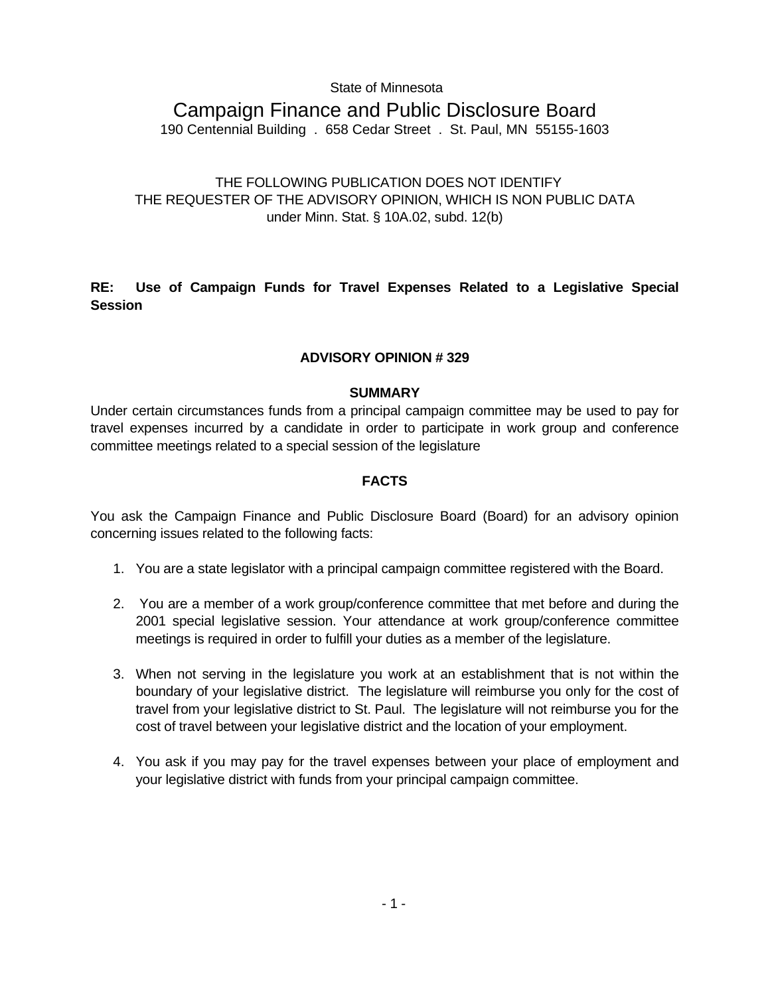State of Minnesota

# Campaign Finance and Public Disclosure Board

190 Centennial Building . 658 Cedar Street . St. Paul, MN 55155-1603

# THE FOLLOWING PUBLICATION DOES NOT IDENTIFY THE REQUESTER OF THE ADVISORY OPINION, WHICH IS NON PUBLIC DATA under Minn. Stat. § 10A.02, subd. 12(b)

# **RE: Use of Campaign Funds for Travel Expenses Related to a Legislative Special Session**

## **ADVISORY OPINION # 329**

### **SUMMARY**

Under certain circumstances funds from a principal campaign committee may be used to pay for travel expenses incurred by a candidate in order to participate in work group and conference committee meetings related to a special session of the legislature

### **FACTS**

You ask the Campaign Finance and Public Disclosure Board (Board) for an advisory opinion concerning issues related to the following facts:

- 1. You are a state legislator with a principal campaign committee registered with the Board.
- 2. You are a member of a work group/conference committee that met before and during the 2001 special legislative session. Your attendance at work group/conference committee meetings is required in order to fulfill your duties as a member of the legislature.
- 3. When not serving in the legislature you work at an establishment that is not within the boundary of your legislative district. The legislature will reimburse you only for the cost of travel from your legislative district to St. Paul. The legislature will not reimburse you for the cost of travel between your legislative district and the location of your employment.
- 4. You ask if you may pay for the travel expenses between your place of employment and your legislative district with funds from your principal campaign committee.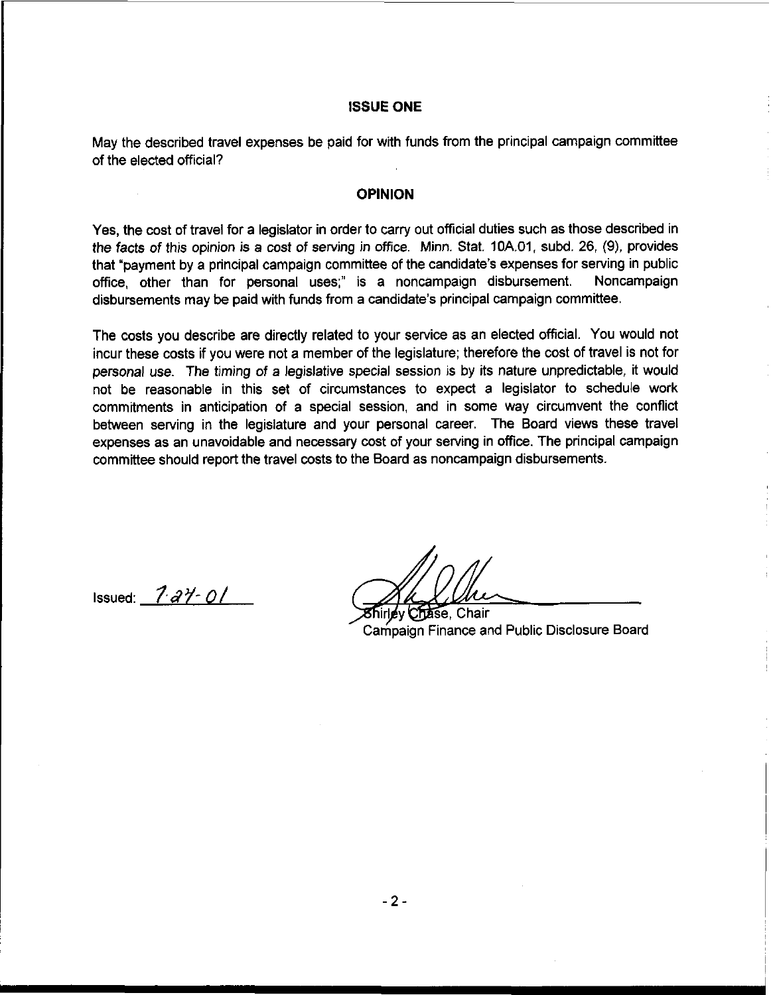#### ISSUE ONE

May the described travel expenses be paid for with funds from the principal campaign committee of the elected official?

#### OPINION

Yes, the cost of travel for a legislator in order to carry out official duties such as those described in the facts of this opinion is a cost of serving in office. Minn. Stat. **10A.01,** subd. 26, **(9),** provides that "payment by a principal campaign committee of the candidate's expenses for sewing in public office, other than for personal uses;" is a noncampaign disbursement. Noncampaign disbursements may be paid with funds from a candidate's principal campaign committee.

The costs you describe are directly related to your service as an elected official. You would not incur these costs if you were not a member of the legislature; therefore the cost of travel is not for personal use. The timing of a legislative special session is by its nature unpredictable, it would not be reasonable in this set of circumstances to expect a legislator to schedule work commitments in anticipation of a special session, and in some way circumvent the conflict between sewing in the legislature and your personal career. The Board views these travel expenses as an unavoidable and necessary cost of your serving in office. The principal campaign committee should report the travel costs to the Board as noncampaign disbursements.

Issued: **?dY- O/** 

Shirley Chase, Chair Campaign Finance and Public Disclosure Board